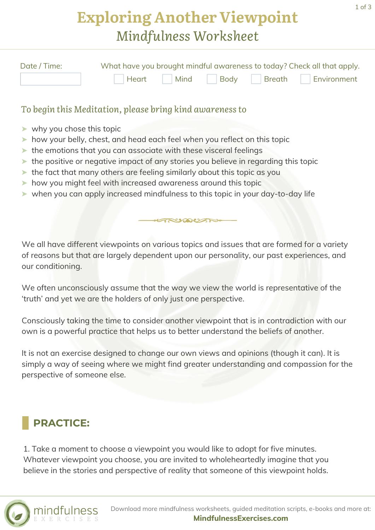## **Exploring Another Viewpoint** *Mindfulness Worksheet*

| Date / Time: | What have you brought mindful awareness to today? Check all that apply. |  |  |  |                                    |
|--------------|-------------------------------------------------------------------------|--|--|--|------------------------------------|
|              |                                                                         |  |  |  | Heart Mind Body Breath Environment |

#### *To begin this Meditation, please bring kind awareness to*

- ➤ why you chose this topic
- ➤ how your belly, chest, and head each feel when you reflect on this topic
- ▶ the emotions that you can associate with these visceral feelings
- ➤ the positive or negative impact of any stories you believe in regarding this topic
- ➤ the fact that many others are feeling similarly about this topic as you
- ➤ how you might feel with increased awareness around this topic
- ➤ when you can apply increased mindfulness to this topic in your day-to-day life

We all have different viewpoints on various topics and issues that are formed for a variety of reasons but that are largely dependent upon our personality, our past experiences, and our conditioning.

ARUMUANO

We often unconsciously assume that the way we view the world is representative of the 'truth' and yet we are the holders of only just one perspective.

Consciously taking the time to consider another viewpoint that is in contradiction with our own is a powerful practice that helps us to better understand the beliefs of another.

It is not an exercise designed to change our own views and opinions (though it can). It is simply a way of seeing where we might find greater understanding and compassion for the perspective of someone else.

### **PRACTICE:**

1. Take a moment to choose a viewpoint you would like to adopt for five minutes. Whatever viewpoint you choose, you are invited to wholeheartedly imagine that you believe in the stories and perspective of reality that someone of this viewpoint holds.

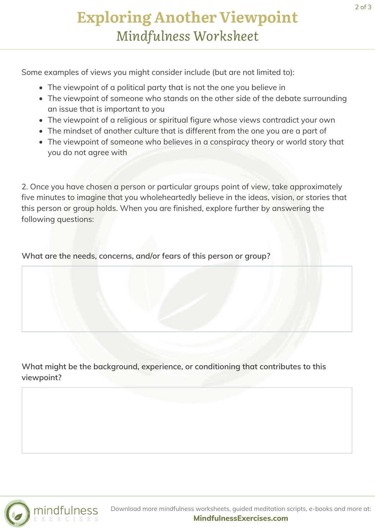# **Exploring Another Viewpoint** *Mindfulness Worksheet*

Some examples of views you might consider include (but are not limited to):

- The viewpoint of a political party that is not the one you believe in
- The viewpoint of someone who stands on the other side of the debate surrounding an issue that is important to you
- The viewpoint of a religious or spiritual figure whose views contradict your own
- The mindset of another culture that is different from the one you are a part of
- The viewpoint of someone who believes in a conspiracy theory or world story that you do not agree with

2. Once you have chosen a person or particular groups point of view, take approximately five minutes to imagine that you wholeheartedly believe in the ideas, vision, or stories that this person or group holds. When you are finished, explore further by answering the following questions:

**What are the needs, concerns, and/or fears of this person or group?**

**What might be the background, experience, or conditioning that contributes to this viewpoint?**



Download more mindfulness worksheets, guided meditation scripts, e-books and more at: **[MindfulnessExercises.com](https://mindfulnessexercises.com/)**